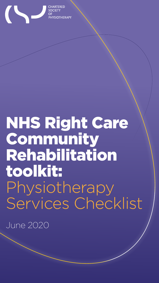

ARTERED **PHYSIOTHERAPY** 

# NHS Right Care Community Rehabilitation toolkit: Physiotherapy

# Services Checklist

June 2020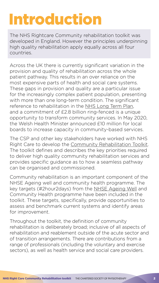# Introduction

The NHS Rightcare Community rehabilitation toolkit was developed in England. However the principles underpinning high quality rehabilitation apply equally across all four countries.

Across the UK there is currently significant variation in the provision and quality of rehabilitation across the whole patient pathway. This results in an over reliance on the most expensive parts of health and social care systems. These gaps in provision and quality are a particular issue for the increasingly complex patient population, presenting with more than one long-term condition. The significant reference to rehabilitation in the [NHS Long Term Plan,](https://www.longtermplan.nhs.uk/) and a commitment of £2.8 billion ring-fenced is a unique opportunity to transform community services. In May 2020, the Welsh Health Minister announced £10 million for local boards to increase capacity in community-based services.

The CSP and other key stakeholders have worked with NHS Right Care to develop the [Community Rehabilitation Toolkit](https://www.england.nhs.uk/rightcare/products/pathways/community-rehabilitation-toolkit/). The toolkit defines and describes the key priorities required to deliver high quality community rehabilitation services and provides specific guidance as to how a seamless pathway can be organised and commissioned.

Community rehabilitation is an important component of the NHSE Ageing well and community health programme. The key targets (#2hour2days) from the [NHSE Ageing Well](https://www.longtermplan.nhs.uk/areas-of-work/ageing-well/) and Community Health programme have been included in the toolkit. These targets, specifically, provide opportunities to assess and benchmark current systems and identify areas for improvement.

Throughout the toolkit, the definition of community rehabilitation is deliberately broad; inclusive of all aspects of rehabilitation and reablement outside of the acute sector and of transition arrangements. There are contributions from a range of professionals (including the voluntary and exercise sectors), as well as health service and social care providers.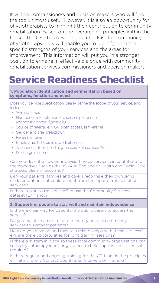It will be commissioners and decision makers who will find the toolkit most useful. However, it is also an opportunity for physiotherapists to highlight their contribution to community rehabilitation. Based on the overarching principles within the toolkit, the CSP has developed a checklist for community physiotherapy. This will enable you to identify both the specific strengths of your services and the areas for improvement. This information will put you in a stronger position to engage in effective dialogue with community rehabilitation services commissioners and decision makers.

# Service Readiness Checklist

# **1. Population identification and segmentation based on symptoms, function and need**

Does your service specification clearly define the scope of your service, and include:

- Waiting times
- Number of referrals made to service per annum *(diagnostic codes if possible)*
- Source of referral, e.g. GP, open access, self-referral
- Gender and age breakdown
- Referral criteria
- Employment status and work absence
- Assessment tools used *(e.g. measure of complexity)*
- Discharge reason

Can you describe how your physiotherapy service can contribute to the objectives such as the JSNA in England or Health and Social Care strategic plans in Scotland?

Can your patients, families and carers recognise their own signs of deterioration that could benefit from the input of rehabilitation services?

Is there a plan to train all staff to use the Community Services dataset (England)?

# **2. Supporting people to stay well and maintain independence**

Is there a clear way for patients/the public/carers to access the service?

Do you maintain an up to date directory of local community services to signpost patients?

How do you develop and maintain relationships with these services? e.g. are there opportunities for joint training sessions?

Is there a system in place so these local community organisations can seek physiotherapy input or guidance to help support their clients if required?

Is there regular and ongoing training for the CR team in the principles of Making Every Contact Count/Brief Intervention Training?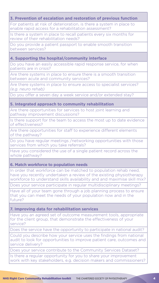# **3. Prevention of escalation and restoration of previous function**

For patients at risk of deterioration, is there a system in place to enable rapid access for a rehabilitation assessment?

Is there a system in place to recall patients every six months for review of their rehabilitation needs?

Do you provide a patient passport to enable smooth transition between services?

# **4. Supporting the hospital/community interface**

Do you have an easily accessible rapid response service, for when patients are in crisis?

Are there systems in place to ensure there is a smooth transition between acute and community services?

Are there systems in place to ensure access to specialist services? *(e.g. neuro rehab)*

Do you offer a seven day a week service and/or extended stay?

## **5. Integrated approach to community rehabilitation**

Are there opportunities for services to host joint learning and pathway improvement discussions?

Is there support for the team to access the most up to date evidence of effectiveness?

Are there opportunities for staff to experience different elements of the pathway?

Do you have regular meetings /networking opportunities with those services from which you take referrals?

Have you considered the use of a single patient record across the whole pathway?

## **6. Match workforce to population needs**

In order that workforce can be matched to population rehab need, have you recently undertaken a review of the existing physiotherapy workforce to understand skills availability and and maximise skill mix?

Does your service participate in regular multidisciplinary meetings?

Have all of your team gone through a job planning process to ensure that you can meet the needs of your population now and in the

#### future?

## **7. Improving data for rehabilitation services**

Have you an agreed set of outcome measurement tools, appropriate for the client group, that demonstrate the effectiveness of your service?

Does the service have the opportunity to participate in national audit?

Could you describe how your service uses the findings from national audit to look for opportunities to improve patient care, outcomes and service delivery?

Does your service contribute to the Community Services Dataset?

Is there a regular opportunity for you to share your improvement work with key stakeholders, e.g. decision makers and commissioners?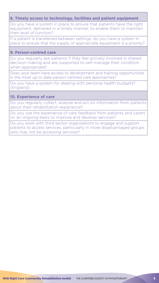#### NHS Right Care Community Rehabilitation toolkitTHE CHARTERED SOCIETY OF PHYSIOTHERAPY 5

# **8. Timely access to technology, facilities and patient equipment**

Do you have a system in place to ensure that patients have the right equipment, delivered in a timely manner, to enable them to maintain their level of function?

If a patient is transferred between settings, do you have a system in place to ensure that the supply of appropriate equipment is a priority?

### **9. Person-centred care**

Do you regularly ask patients if they feel actively involved in shared decision making and are supported to self-manage their condition when appropriate?

Does your team have access to development and training opportunities in the most up to date person-centred care approaches?

Do you have a system for dealing with personal health budgets? (England)

### **10. Experience of care**

Do you regularly collect, analyse and act on information from patients about their rehabilitation experience?

Do you use the experience of care feedback from patients and carers on an ongoing basis to improve and develop services?

Do you work with third sector organisations to engage and support patients to access services, particularly in more disadvantaged groups who may not be accessing services?